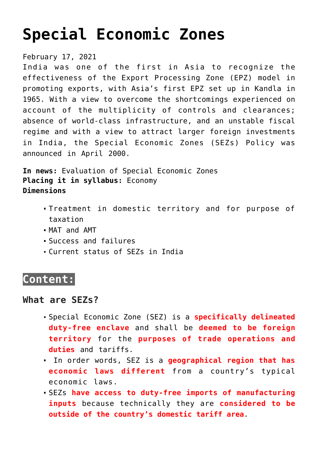# **[Special Economic Zones](https://journalsofindia.com/special-economic-zones-2/)**

February 17, 2021

India was one of the first in Asia to recognize the effectiveness of the Export Processing Zone (EPZ) model in promoting exports, with Asia's first EPZ set up in Kandla in 1965. With a view to overcome the shortcomings experienced on account of the multiplicity of controls and clearances; absence of world-class infrastructure, and an unstable fiscal regime and with a view to attract larger foreign investments in India, the Special Economic Zones (SEZs) Policy was announced in April 2000.

**In news:** Evaluation of Special Economic Zones **Placing it in syllabus:** Economy **Dimensions**

- Treatment in domestic territory and for purpose of taxation
- MAT and AMT
- Success and failures
- Current status of SEZs in India

# **Content:**

## **What are SEZs?**

- Special Economic Zone (SEZ) is a **specifically delineated duty-free enclave** and shall be **deemed to be foreign territory** for the **purposes of trade operations and duties** and tariffs.
- In order words, SEZ is a **geographical region that has economic laws different** from a country's typical economic laws.
- SEZs **have access to duty-free imports of manufacturing inputs** because technically they are **considered to be outside of the country's domestic tariff area**.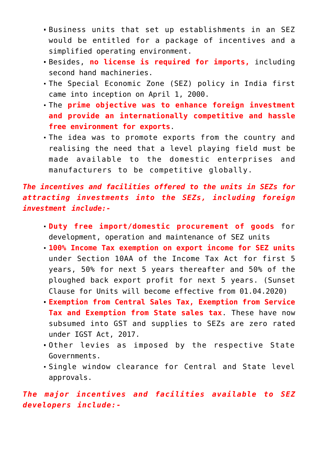- Business units that set up establishments in an SEZ would be entitled for a package of incentives and a simplified operating environment.
- Besides, **no license is required for imports,** including second hand machineries.
- The Special Economic Zone (SEZ) policy in India first came into inception on April 1, 2000.
- The **prime objective was to enhance foreign investment and provide an internationally competitive and hassle free environment for exports**.
- The idea was to promote exports from the country and realising the need that a level playing field must be made available to the domestic enterprises and manufacturers to be competitive globally.

*The incentives and facilities offered to the units in SEZs for attracting investments into the SEZs, including foreign investment include:-*

- **Duty free import/domestic procurement of goods** for development, operation and maintenance of SEZ units
- **100% Income Tax exemption on export income for SEZ units** under Section 10AA of the Income Tax Act for first 5 years, 50% for next 5 years thereafter and 50% of the ploughed back export profit for next 5 years. (Sunset Clause for Units will become effective from 01.04.2020)
- **Exemption from Central Sales Tax, Exemption from Service Tax and Exemption from State sales tax**. These have now subsumed into GST and supplies to SEZs are zero rated under IGST Act, 2017.
- Other levies as imposed by the respective State Governments.
- Single window clearance for Central and State level approvals.

*The major incentives and facilities available to SEZ developers include:-*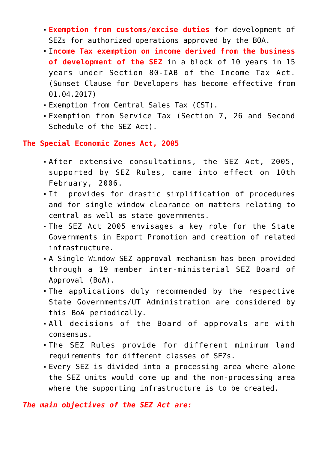- **Exemption from customs/excise duties** for development of SEZs for authorized operations approved by the BOA.
- I**ncome Tax exemption on income derived from the business of development of the SEZ** in a block of 10 years in 15 years under Section 80-IAB of the Income Tax Act. (Sunset Clause for Developers has become effective from 01.04.2017)
- Exemption from Central Sales Tax (CST).
- Exemption from Service Tax (Section 7, 26 and Second Schedule of the SEZ Act).

**The Special Economic Zones Act, 2005**

- After extensive consultations, the SEZ Act, 2005, supported by SEZ Rules, came into effect on 10th February, 2006.
- It provides for drastic simplification of procedures and for single window clearance on matters relating to central as well as state governments.
- The SEZ Act 2005 envisages a key role for the State Governments in Export Promotion and creation of related infrastructure.
- A Single Window SEZ approval mechanism has been provided through a 19 member inter-ministerial SEZ Board of Approval (BoA).
- The applications duly recommended by the respective State Governments/UT Administration are considered by this BoA periodically.
- All decisions of the Board of approvals are with consensus.
- The SEZ Rules provide for different minimum land requirements for different classes of SEZs.
- Every SEZ is divided into a processing area where alone the SEZ units would come up and the non-processing area where the supporting infrastructure is to be created.

*The main objectives of the SEZ Act are:*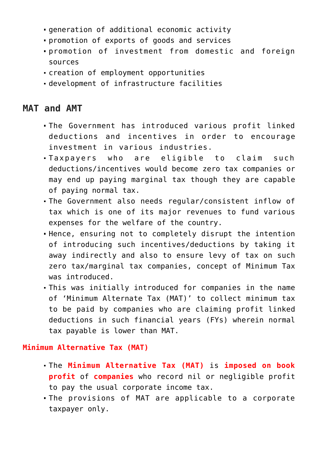- generation of additional economic activity
- promotion of exports of goods and services
- promotion of investment from domestic and foreign sources
- creation of employment opportunities
- development of infrastructure facilities

# **MAT and AMT**

- The Government has introduced various profit linked deductions and incentives in order to encourage investment in various industries.
- Taxpayers who are eligible to claim such deductions/incentives would become zero tax companies or may end up paying marginal tax though they are capable of paying normal tax.
- The Government also needs regular/consistent inflow of tax which is one of its major revenues to fund various expenses for the welfare of the country.
- Hence, ensuring not to completely disrupt the intention of introducing such incentives/deductions by taking it away indirectly and also to ensure levy of tax on such zero tax/marginal tax companies, concept of Minimum Tax was introduced.
- This was initially introduced for companies in the name of 'Minimum Alternate Tax (MAT)' to collect minimum tax to be paid by companies who are claiming profit linked deductions in such financial years (FYs) wherein normal tax payable is lower than MAT.

### **Minimum Alternative Tax (MAT)**

- The **Minimum Alternative Tax (MAT)** is **imposed on book profit** of **companies** who record nil or negligible profit to pay the usual corporate income tax.
- The provisions of MAT are applicable to a corporate taxpayer only.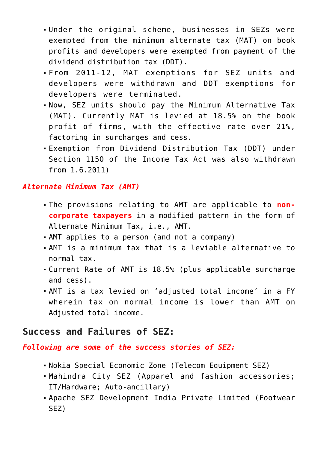- Under the original scheme, businesses in SEZs were exempted from the minimum alternate tax (MAT) on book profits and developers were exempted from payment of the dividend distribution tax (DDT).
- From 2011-12, MAT exemptions for SEZ units and developers were withdrawn and DDT exemptions for developers were terminated.
- Now, SEZ units should pay the Minimum Alternative Tax (MAT). Currently MAT is levied at 18.5% on the book profit of firms, with the effective rate over 21%, factoring in surcharges and cess.
- Exemption from Dividend Distribution Tax (DDT) under Section 115O of the Income Tax Act was also withdrawn from 1.6.2011)

#### *Alternate Minimum Tax (AMT)*

- The provisions relating to AMT are applicable to **noncorporate taxpayers** in a modified pattern in the form of Alternate Minimum Tax, i.e., AMT.
- AMT applies to a person (and not a company)
- AMT is a minimum tax that is a leviable alternative to normal tax.
- Current Rate of AMT is 18.5% (plus applicable surcharge and cess).
- AMT is a tax levied on 'adjusted total income' in a FY wherein tax on normal income is lower than AMT on Adjusted total income.

## **Success and Failures of SEZ:**

#### *Following are some of the success stories of SEZ:*

- Nokia Special Economic Zone (Telecom Equipment SEZ)
- Mahindra City SEZ (Apparel and fashion accessories; IT/Hardware; Auto-ancillary)
- Apache SEZ Development India Private Limited (Footwear SEZ)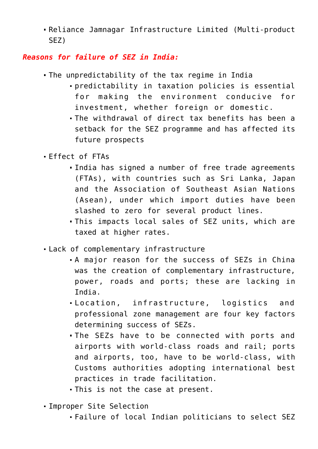Reliance Jamnagar Infrastructure Limited (Multi-product SEZ)

## *Reasons for failure of SEZ in India:*

- The unpredictability of the tax regime in India
	- predictability in taxation policies is essential for making the environment conducive for investment, whether foreign or domestic.
	- The withdrawal of direct tax benefits has been a setback for the SEZ programme and has affected its future prospects
- Effect of FTAs
	- India has signed a number of free trade agreements (FTAs), with countries such as Sri Lanka, Japan and the Association of Southeast Asian Nations (Asean), under which import duties have been slashed to zero for several product lines.
	- This impacts local sales of SEZ units, which are taxed at higher rates.
- Lack of complementary infrastructure
	- A major reason for the success of SEZs in China was the creation of complementary infrastructure, power, roads and ports; these are lacking in India.
	- Location, infrastructure, logistics and professional zone management are four key factors determining success of SEZs.
	- The SEZs have to be connected with ports and airports with world-class roads and rail; ports and airports, too, have to be world-class, with Customs authorities adopting international best practices in trade facilitation.
	- This is not the case at present.
- Improper Site Selection
	- Failure of local Indian politicians to select SEZ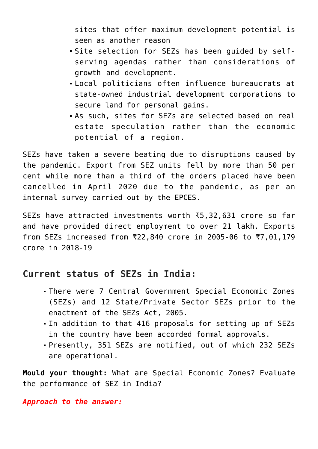sites that offer maximum development potential is seen as another reason

- Site selection for SEZs has been quided by selfserving agendas rather than considerations of growth and development.
- Local politicians often influence bureaucrats at state-owned industrial development corporations to secure land for personal gains.
- As such, sites for SEZs are selected based on real estate speculation rather than the economic potential of a region.

SEZs have taken a severe beating due to disruptions caused by the pandemic. Export from SEZ units fell by more than 50 per cent while more than a third of the orders placed have been cancelled in April 2020 due to the pandemic, as per an internal survey carried out by the EPCES.

SEZs have attracted investments worth ₹5,32,631 crore so far and have provided direct employment to over 21 lakh. Exports from SEZs increased from ₹22,840 crore in 2005-06 to ₹7,01,179 crore in 2018-19

# **Current status of SEZs in India:**

- There were 7 Central Government Special Economic Zones (SEZs) and 12 State/Private Sector SEZs prior to the enactment of the SEZs Act, 2005.
- In addition to that 416 proposals for setting up of SEZs in the country have been accorded formal approvals.
- Presently, 351 SEZs are notified, out of which 232 SEZs are operational.

**Mould your thought:** What are Special Economic Zones? Evaluate the performance of SEZ in India?

*Approach to the answer:*